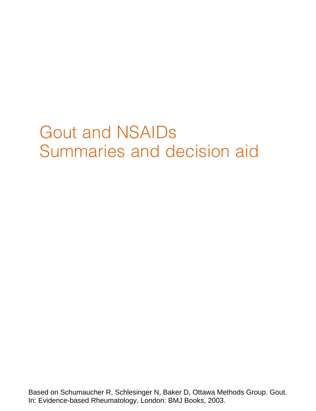# Gout and NSAIDs Summaries and decision aid

Based on Schumaucher R, Schlesinger N, Baker D, Ottawa Methods Group. Gout. In: Evidence-based Rheumatology, London: BMJ Books, 2003.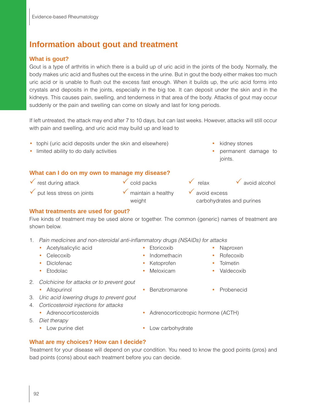# **Information about gout and treatment**

### **What is gout?**

Gout is a type of arthritis in which there is a build up of uric acid in the joints of the body. Normally, the body makes uric acid and flushes out the excess in the urine. But in gout the body either makes too much uric acid or is unable to flush out the excess fast enough. When it builds up, the uric acid forms into crystals and deposits in the joints, especially in the big toe. It can deposit under the skin and in the kidneys. This causes pain, swelling, and tenderness in that area of the body. Attacks of gout may occur suddenly or the pain and swelling can come on slowly and last for long periods.

If left untreated, the attack may end after 7 to 10 days, but can last weeks. However, attacks will still occur with pain and swelling, and uric acid may build up and lead to

- tophi (uric acid deposits under the skin and elsewhere) vertical values stones
- limited ability to do daily activities  **permanent damage to permanent damage to**

#### **What can I do on my own to manage my disease?**

- $\checkmark$  rest during attack  $\checkmark$  cold packs  $\checkmark$  relax  $\checkmark$  avoid alcohol
- $\checkmark$  put less stress on joints  $\checkmark$  maintain a healthy  $\checkmark$  avoid excess
- -
- 
- joints.
- 
- weight carbohydrates and purines

#### **What treatments are used for gout?**

Five kinds of treatment may be used alone or together. The common (generic) names of treatment are shown below.

- 1. Pain medicines and non-steroidal anti-inflammatory drugs (NSAIDs) for attacks
	- Acetylsalicylic acid Etoricoxib Naproxen
	-
	- Diclofenac Ketoprofen Tolmetin
	-
- 2. Colchicine for attacks or to prevent gout
	- Allopurinol Benzbromarone Probenecid
- 3. Uric acid lowering drugs to prevent gout
- 4. Corticosteroid injections for attacks
	-
	- Adrenocorticosteroids Adrenocorticotropic hormone (ACTH)
- 5. Diet therapy
	-
	- Low purine diet Low carbohydrate

#### **What are my choices? How can I decide?**

Treatment for your disease will depend on your condition. You need to know the good points (pros) and bad points (cons) about each treatment before you can decide.

- Celecoxib Indomethacin Rofecoxib
	- -
- Etodolac  **Meloxicam Meloxicam** Valdecoxib
	-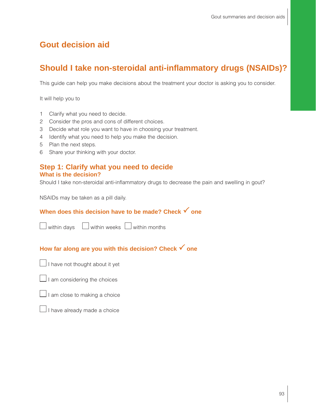# **Gout decision aid**

# **Should I take non-steroidal anti-inflammatory drugs (NSAIDs)?**

This guide can help you make decisions about the treatment your doctor is asking you to consider.

It will help you to

- 1 Clarify what you need to decide.
- 2 Consider the pros and cons of different choices.
- 3 Decide what role you want to have in choosing your treatment.
- 4 Identify what you need to help you make the decision.
- 5 Plan the next steps.
- 6 Share your thinking with your doctor.

#### **Step 1: Clarify what you need to decide What is the decision?**

Should I take non-steroidal anti-inflammatory drugs to decrease the pain and swelling in gout?

NSAIDs may be taken as a pill daily.

## **When does this decision have to be made? Check √ one**

 $\Box$  within days  $\Box$  within weeks  $\Box$  within months

# How far along are you with this decision? Check **√** one

 $\Box$  I have not thought about it yet

 $\Box$  I am considering the choices



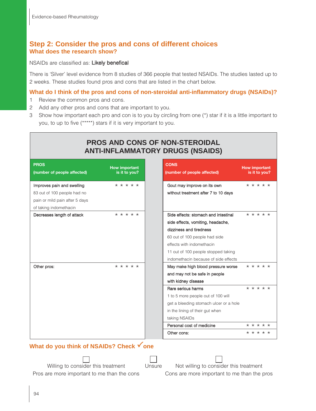## **Step 2: Consider the pros and cons of different choices What does the research show?**

NSAIDs are classified as: Likely benefical

There is 'Silver' level evidence from 8 studies of 366 people that tested NSAIDs. The studies lasted up to 2 weeks. These studies found pros and cons that are listed in the chart below.

#### **What do I think of the pros and cons of non-steroidal anti-inflammatory drugs (NSAIDs)?**

- 1 Review the common pros and cons.
- 2 Add any other pros and cons that are important to you.
- 3 Show how important each pro and con is to you by circling from one (\*) star if it is a little important to you, to up to five (\*\*\*\*\*) stars if it is very important to you.

| <b>PROS AND CONS OF NON-STEROIDAL</b><br><b>ANTI-INFLAMMATORY DRUGS (NSAIDS)</b>                                      |                                                                                                                                                                                                                                                                                 |                                                                                                                                                                                                                                                                                   |                                       |  |  |
|-----------------------------------------------------------------------------------------------------------------------|---------------------------------------------------------------------------------------------------------------------------------------------------------------------------------------------------------------------------------------------------------------------------------|-----------------------------------------------------------------------------------------------------------------------------------------------------------------------------------------------------------------------------------------------------------------------------------|---------------------------------------|--|--|
| <b>PROS</b><br>(number of people affected)                                                                            | <b>How important</b><br>is it to you?                                                                                                                                                                                                                                           | <b>CONS</b><br>(number of people affected)                                                                                                                                                                                                                                        | <b>How important</b><br>is it to you? |  |  |
| Improves pain and swelling<br>83 out of 100 people had no<br>pain or mild pain after 5 days<br>of taking indomethacin | * * * * *<br>Gout may improve on its own<br>without treatment after 7 to 10 days                                                                                                                                                                                                |                                                                                                                                                                                                                                                                                   | * * * * *                             |  |  |
| Decreases length of attack                                                                                            | $* * * * * *$<br>* * * * *<br>Side effects: stomach and intestinal<br>side effects, vomiting, headache,<br>dizziness and tiredness<br>60 out of 100 people had side<br>effects with indomethacin<br>11 out of 100 people stopped taking<br>indomethacin because of side effects |                                                                                                                                                                                                                                                                                   |                                       |  |  |
| Other pros:                                                                                                           | * * * * *                                                                                                                                                                                                                                                                       | May make high blood pressure worse<br>and may not be safe in people<br>with kidney disease<br>Rare serious harms<br>1 to 5 more people out of 100 will<br>get a bleeding stomach ulcer or a hole<br>in the lining of their gut when<br>taking NSAIDs<br>Personal cost of medicine | * * * * *<br>* * * * *<br>* * * * *   |  |  |
|                                                                                                                       |                                                                                                                                                                                                                                                                                 | Other cons:                                                                                                                                                                                                                                                                       | * * * * *                             |  |  |

# **What do you think of NSAIDs? Check √ one**

Willing to consider this treatment Unsure Not willing to consider this treatment

Pros are more important to me than the cons Cons are more important to me than the pros